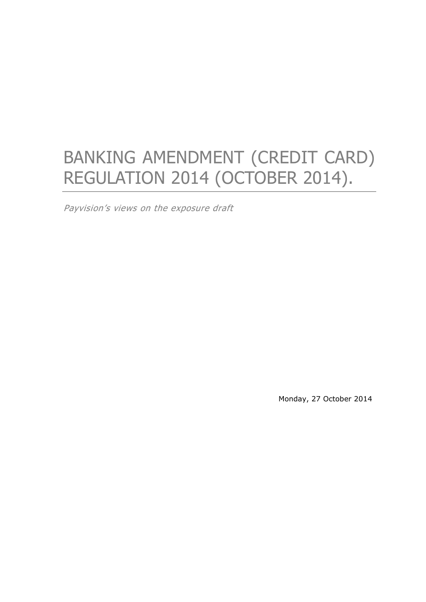# BANKING AMENDMENT (CREDIT CARD) REGULATION 2014 (OCTOBER 2014).

Payvision's views on the exposure draft

Monday, 27 October 2014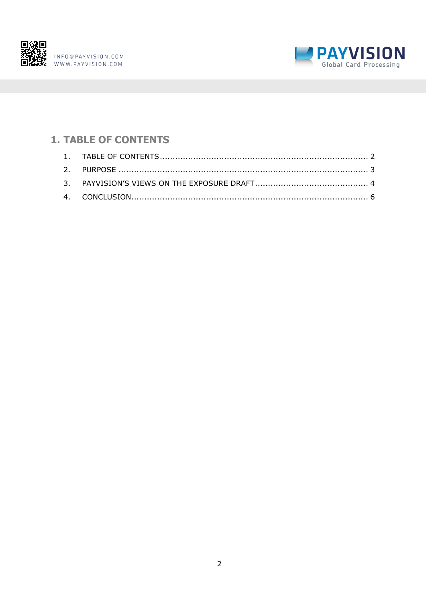



# <span id="page-1-0"></span>**1. TABLE OF CONTENTS**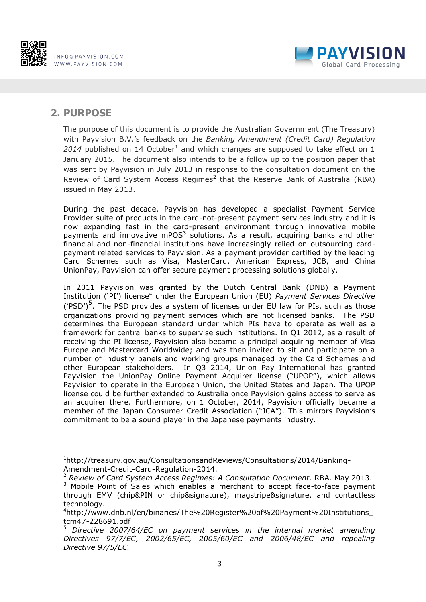



#### <span id="page-2-0"></span>**2. PURPOSE**

1

The purpose of this document is to provide the Australian Government (The Treasury) with Payvision B.V.'s feedback on the *Banking Amendment (Credit Card) Regulation*   $2014$  published on 14 October<sup>1</sup> and which changes are supposed to take effect on 1 January 2015. The document also intends to be a follow up to the position paper that was sent by Payvision in July 2013 in response to the consultation document on the Review of Card System Access Regimes<sup>2</sup> that the Reserve Bank of Australia (RBA) issued in May 2013.

During the past decade, Payvision has developed a specialist Payment Service Provider suite of products in the card-not-present payment services industry and it is now expanding fast in the card-present environment through innovative mobile payments and innovative mPOS $3$  solutions. As a result, acquiring banks and other financial and non-financial institutions have increasingly relied on outsourcing cardpayment related services to Payvision. As a payment provider certified by the leading Card Schemes such as Visa, MasterCard, American Express, JCB, and China UnionPay, Payvision can offer secure payment processing solutions globally.

In 2011 Payvision was granted by the Dutch Central Bank (DNB) a Payment Institution ('PI') license<sup>4</sup> under the European Union (EU) *Payment Services Directive* ('PSD')<sup>5</sup>. The PSD provides a system of licenses under EU law for PIs, such as those organizations providing payment services which are not licensed banks. The PSD determines the European standard under which PIs have to operate as well as a framework for central banks to supervise such institutions. In Q1 2012, as a result of receiving the PI license, Payvision also became a principal acquiring member of Visa Europe and Mastercard Worldwide; and was then invited to sit and participate on a number of industry panels and working groups managed by the Card Schemes and other European stakeholders. In Q3 2014, Union Pay International has granted Payvision the UnionPay Online Payment Acquirer license ("UPOP"), which allows Payvision to operate in the European Union, the United States and Japan. The UPOP license could be further extended to Australia once Payvision gains access to serve as an acquirer there. Furthermore, on 1 October, 2014, Payvision officially became a member of the Japan Consumer Credit Association ("JCA"). This mirrors Payvision's commitment to be a sound player in the Japanese payments industry.

<sup>1</sup>http://treasury.gov.au/ConsultationsandReviews/Consultations/2014/Banking-Amendment-Credit-Card-Regulation-2014.

<sup>2</sup> *Review of Card System Access Regimes: A Consultation Document*. RBA. May 2013.

<sup>&</sup>lt;sup>3</sup> Mobile Point of Sales which enables a merchant to accept face-to-face payment through EMV (chip&PIN or chip&signature), magstripe&signature, and contactless technology.

<sup>4</sup>http://www.dnb.nl/en/binaries/The%20Register%20of%20Payment%20Institutions\_ tcm47-228691.pdf

<sup>5</sup> *Directive 2007/64/EC on payment services in the internal market amending Directives 97/7/EC, 2002/65/EC, 2005/60/EC and 2006/48/EC and repealing Directive 97/5/EC.*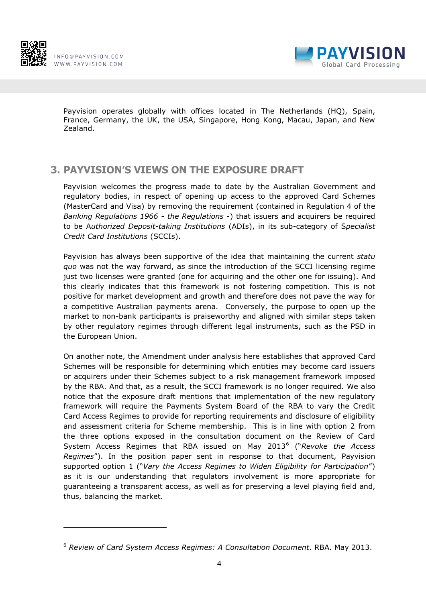



Payvision operates globally with offices located in The Netherlands (HQ), Spain, France, Germany, the UK, the USA, Singapore, Hong Kong, Macau, Japan, and New Zealand.

## <span id="page-3-0"></span>**3. PAYVISION'S VIEWS ON THE EXPOSURE DRAFT**

Payvision welcomes the progress made to date by the Australian Government and regulatory bodies, in respect of opening up access to the approved Card Schemes (MasterCard and Visa) by removing the requirement (contained in Regulation 4 of the *Banking Regulations 1966* - *the Regulations* -) that issuers and acquirers be required to be A*uthorized Deposit-taking Institutions* (ADIs), in its sub-category of S*pecialist Credit Card Institutions* (SCCIs).

Payvision has always been supportive of the idea that maintaining the current *statu quo* was not the way forward, as since the introduction of the SCCI licensing regime just two licenses were granted (one for acquiring and the other one for issuing). And this clearly indicates that this framework is not fostering competition. This is not positive for market development and growth and therefore does not pave the way for a competitive Australian payments arena. Conversely, the purpose to open up the market to non-bank participants is praiseworthy and aligned with similar steps taken by other regulatory regimes through different legal instruments, such as the PSD in the European Union.

On another note, the Amendment under analysis here establishes that approved Card Schemes will be responsible for determining which entities may become card issuers or acquirers under their Schemes subject to a risk management framework imposed by the RBA. And that, as a result, the SCCI framework is no longer required. We also notice that the exposure draft mentions that implementation of the new regulatory framework will require the Payments System Board of the RBA to vary the Credit Card Access Regimes to provide for reporting requirements and disclosure of eligibility and assessment criteria for Scheme membership. This is in line with option 2 from the three options exposed in the consultation document on the Review of Card System Access Regimes that RBA issued on May 2013<sup>6</sup> ("*Revoke the Access Regimes*"). In the position paper sent in response to that document, Payvision supported option 1 ("*Vary the Access Regimes to Widen Eligibility for Participation*") as it is our understanding that regulators involvement is more appropriate for guaranteeing a transparent access, as well as for preserving a level playing field and, thus, balancing the market.

<sup>6</sup> *Review of Card System Access Regimes: A Consultation Document*. RBA. May 2013.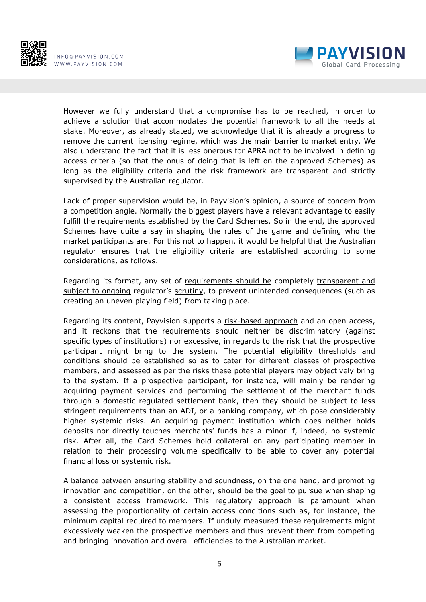



However we fully understand that a compromise has to be reached, in order to achieve a solution that accommodates the potential framework to all the needs at stake. Moreover, as already stated, we acknowledge that it is already a progress to remove the current licensing regime, which was the main barrier to market entry. We also understand the fact that it is less onerous for APRA not to be involved in defining access criteria (so that the onus of doing that is left on the approved Schemes) as long as the eligibility criteria and the risk framework are transparent and strictly supervised by the Australian regulator.

Lack of proper supervision would be, in Payvision's opinion, a source of concern from a competition angle. Normally the biggest players have a relevant advantage to easily fulfill the requirements established by the Card Schemes. So in the end, the approved Schemes have quite a say in shaping the rules of the game and defining who the market participants are. For this not to happen, it would be helpful that the Australian regulator ensures that the eligibility criteria are established according to some considerations, as follows.

Regarding its format, any set of requirements should be completely transparent and subject to ongoing regulator's scrutiny, to prevent unintended consequences (such as creating an uneven playing field) from taking place.

Regarding its content, Payvision supports a risk-based approach and an open access, and it reckons that the requirements should neither be discriminatory (against specific types of institutions) nor excessive, in regards to the risk that the prospective participant might bring to the system. The potential eligibility thresholds and conditions should be established so as to cater for different classes of prospective members, and assessed as per the risks these potential players may objectively bring to the system. If a prospective participant, for instance, will mainly be rendering acquiring payment services and performing the settlement of the merchant funds through a domestic regulated settlement bank, then they should be subject to less stringent requirements than an ADI, or a banking company, which pose considerably higher systemic risks. An acquiring payment institution which does neither holds deposits nor directly touches merchants' funds has a minor if, indeed, no systemic risk. After all, the Card Schemes hold collateral on any participating member in relation to their processing volume specifically to be able to cover any potential financial loss or systemic risk.

A balance between ensuring stability and soundness, on the one hand, and promoting innovation and competition, on the other, should be the goal to pursue when shaping a consistent access framework. This regulatory approach is paramount when assessing the proportionality of certain access conditions such as, for instance, the minimum capital required to members. If unduly measured these requirements might excessively weaken the prospective members and thus prevent them from competing and bringing innovation and overall efficiencies to the Australian market.